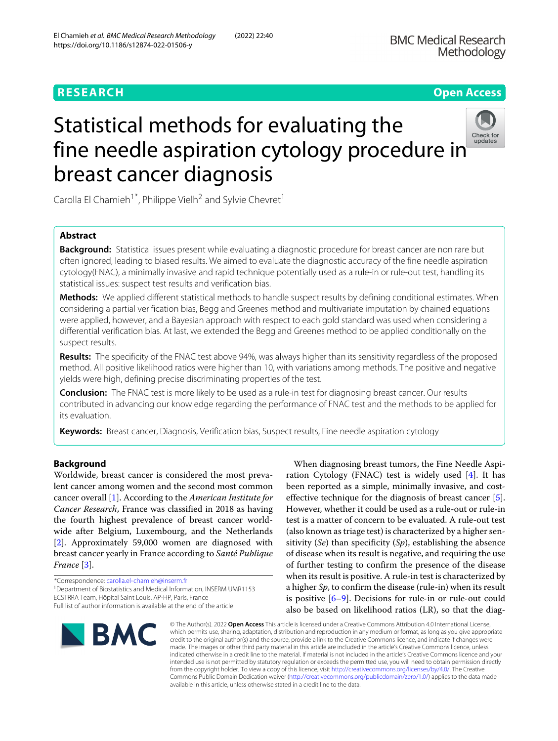## **RESEARCH Open Access**

# Statistical methods for evaluating the

Carolla El Chamieh<sup>1\*</sup>, Philippe Vielh<sup>2</sup> and Sylvie Chevret<sup>1</sup>

breast cancer diagnosis

## **Abstract**

**Background:** Statistical issues present while evaluating a diagnostic procedure for breast cancer are non rare but often ignored, leading to biased results. We aimed to evaluate the diagnostic accuracy of the fine needle aspiration cytology(FNAC), a minimally invasive and rapid technique potentially used as a rule-in or rule-out test, handling its statistical issues: suspect test results and verification bias.

**Methods:** We applied different statistical methods to handle suspect results by defining conditional estimates. When considering a partial verification bias, Begg and Greenes method and multivariate imputation by chained equations were applied, however, and a Bayesian approach with respect to each gold standard was used when considering a differential verification bias. At last, we extended the Begg and Greenes method to be applied conditionally on the suspect results.

**Results:** The specificity of the FNAC test above 94%, was always higher than its sensitivity regardless of the proposed method. All positive likelihood ratios were higher than 10, with variations among methods. The positive and negative yields were high, defining precise discriminating properties of the test.

**Conclusion:** The FNAC test is more likely to be used as a rule-in test for diagnosing breast cancer. Our results contributed in advancing our knowledge regarding the performance of FNAC test and the methods to be applied for its evaluation.

**Keywords:** Breast cancer, Diagnosis, Verification bias, Suspect results, Fine needle aspiration cytology

## **Background**

Worldwide, breast cancer is considered the most prevalent cancer among women and the second most common cancer overall [\[1\]](#page-10-0). According to the *American Institute for Cancer Research*, France was classified in 2018 as having the fourth highest prevalence of breast cancer worldwide after Belgium, Luxembourg, and the Netherlands [\[2\]](#page-10-1). Approximately 59,000 women are diagnosed with breast cancer yearly in France according to *Santé Publique France* [\[3\]](#page-10-2).

\*Correspondence: [carolla.el-chamieh@inserm.fr](mailto: carolla.el-chamieh@inserm.fr)

<sup>1</sup> Department of Biostatistics and Medical Information, INSERM UMR1153 ECSTRRA Team, Hôpital Saint Louis, AP-HP, Paris, France Full list of author information is available at the end of the article



ration Cytology (FNAC) test is widely used [\[4\]](#page-10-3). It has been reported as a simple, minimally invasive, and costeffective technique for the diagnosis of breast cancer [\[5\]](#page-10-4). However, whether it could be used as a rule-out or rule-in test is a matter of concern to be evaluated. A rule-out test (also known as triage test) is characterized by a higher sensitivity (*Se*) than specificity (*Sp*), establishing the absence of disease when its result is negative, and requiring the use of further testing to confirm the presence of the disease when its result is positive. A rule-in test is characterized by a higher *Sp*, to confirm the disease (rule-in) when its result is positive [\[6](#page-10-5)[–9\]](#page-10-6). Decisions for rule-in or rule-out could also be based on likelihood ratios (LR), so that the diag-

When diagnosing breast tumors, the Fine Needle Aspi-

© The Author(s). 2022 **Open Access** This article is licensed under a Creative Commons Attribution 4.0 International License, which permits use, sharing, adaptation, distribution and reproduction in any medium or format, as long as you give appropriate credit to the original author(s) and the source, provide a link to the Creative Commons licence, and indicate if changes were made. The images or other third party material in this article are included in the article's Creative Commons licence, unless indicated otherwise in a credit line to the material. If material is not included in the article's Creative Commons licence and your intended use is not permitted by statutory regulation or exceeds the permitted use, you will need to obtain permission directly from the copyright holder. To view a copy of this licence, visit [http://creativecommons.org/licenses/by/4.0/.](http://creativecommons.org/licenses/by/4.0/) The Creative Commons Public Domain Dedication waiver [\(http://creativecommons.org/publicdomain/zero/1.0/\)](http://creativecommons.org/publicdomain/zero/1.0/) applies to the data made available in this article, unless otherwise stated in a credit line to the data.

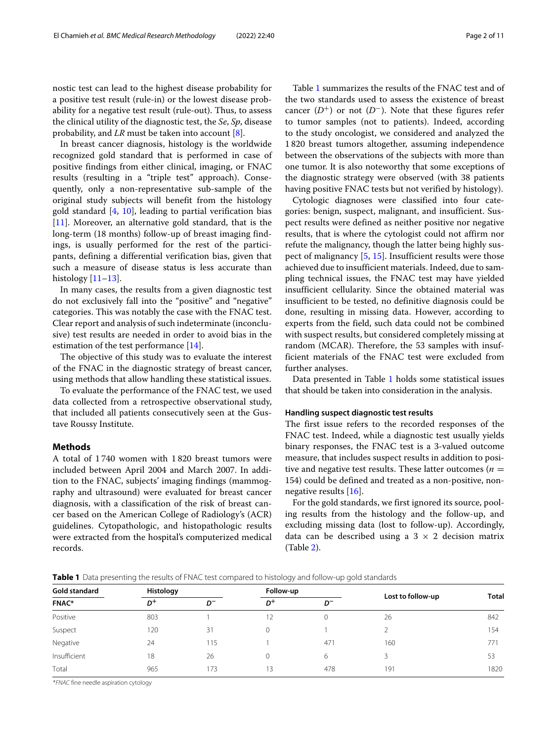nostic test can lead to the highest disease probability for a positive test result (rule-in) or the lowest disease probability for a negative test result (rule-out). Thus, to assess the clinical utility of the diagnostic test, the *Se*, *Sp*, disease probability, and *LR* must be taken into account [\[8\]](#page-10-7).

In breast cancer diagnosis, histology is the worldwide recognized gold standard that is performed in case of positive findings from either clinical, imaging, or FNAC results (resulting in a "triple test" approach). Consequently, only a non-representative sub-sample of the original study subjects will benefit from the histology gold standard  $[4, 10]$  $[4, 10]$  $[4, 10]$ , leading to partial verification bias [\[11\]](#page-10-9). Moreover, an alternative gold standard, that is the long-term (18 months) follow-up of breast imaging findings, is usually performed for the rest of the participants, defining a differential verification bias, given that such a measure of disease status is less accurate than histology  $[11-13]$  $[11-13]$ .

In many cases, the results from a given diagnostic test do not exclusively fall into the "positive" and "negative" categories. This was notably the case with the FNAC test. Clear report and analysis of such indeterminate (inconclusive) test results are needed in order to avoid bias in the estimation of the test performance [\[14\]](#page-10-11).

The objective of this study was to evaluate the interest of the FNAC in the diagnostic strategy of breast cancer, using methods that allow handling these statistical issues.

To evaluate the performance of the FNAC test, we used data collected from a retrospective observational study, that included all patients consecutively seen at the Gustave Roussy Institute.

## **Methods**

A total of 1 740 women with 1 820 breast tumors were included between April 2004 and March 2007. In addition to the FNAC, subjects' imaging findings (mammography and ultrasound) were evaluated for breast cancer diagnosis, with a classification of the risk of breast cancer based on the American College of Radiology's (ACR) guidelines. Cytopathologic, and histopathologic results were extracted from the hospital's computerized medical records.

Table [1](#page-1-0) summarizes the results of the FNAC test and of the two standards used to assess the existence of breast cancer  $(D^+)$  or not  $(D^-)$ . Note that these figures refer to tumor samples (not to patients). Indeed, according to the study oncologist, we considered and analyzed the 1 820 breast tumors altogether, assuming independence between the observations of the subjects with more than one tumor. It is also noteworthy that some exceptions of the diagnostic strategy were observed (with 38 patients having positive FNAC tests but not verified by histology).

Cytologic diagnoses were classified into four categories: benign, suspect, malignant, and insufficient. Suspect results were defined as neither positive nor negative results, that is where the cytologist could not affirm nor refute the malignancy, though the latter being highly suspect of malignancy [\[5,](#page-10-4) [15\]](#page-10-12). Insufficient results were those achieved due to insufficient materials. Indeed, due to sampling technical issues, the FNAC test may have yielded insufficient cellularity. Since the obtained material was insufficient to be tested, no definitive diagnosis could be done, resulting in missing data. However, according to experts from the field, such data could not be combined with suspect results, but considered completely missing at random (MCAR). Therefore, the 53 samples with insufficient materials of the FNAC test were excluded from further analyses.

Data presented in Table [1](#page-1-0) holds some statistical issues that should be taken into consideration in the analysis.

## **Handling suspect diagnostic test results**

<span id="page-1-1"></span>The first issue refers to the recorded responses of the FNAC test. Indeed, while a diagnostic test usually yields binary responses, the FNAC test is a 3-valued outcome measure, that includes suspect results in addition to positive and negative test results. These latter outcomes ( $n =$ 154) could be defined and treated as a non-positive, nonnegative results [\[16\]](#page-10-13).

For the gold standards, we first ignored its source, pooling results from the histology and the follow-up, and excluding missing data (lost to follow-up). Accordingly, data can be described using a  $3 \times 2$  decision matrix (Table [2\)](#page-2-0).

| Table 1 Data presenting the results of FNAC test compared to histology and follow-up gold standards |  |  |  |
|-----------------------------------------------------------------------------------------------------|--|--|--|
|-----------------------------------------------------------------------------------------------------|--|--|--|

<span id="page-1-0"></span>

| Gold standard | Histology |                |       | Follow-up |                   | <b>Total</b> |
|---------------|-----------|----------------|-------|-----------|-------------------|--------------|
| <b>FNAC*</b>  | $D^+$     | D <sup>-</sup> | $D^+$ | $D^-$     | Lost to follow-up |              |
| Positive      | 803       |                |       |           | 26                | 842          |
| Suspect       | 120       | 31             |       |           |                   | 154          |
| Negative      | 24        | 115            |       | 471       | 160               | 771          |
| Insufficient  | 18        | 26             |       | 6         |                   | 53           |
| Total         | 965       | 173            | 13    | 478       | 191               | 1820         |

\*FNAC fine needle aspiration cytology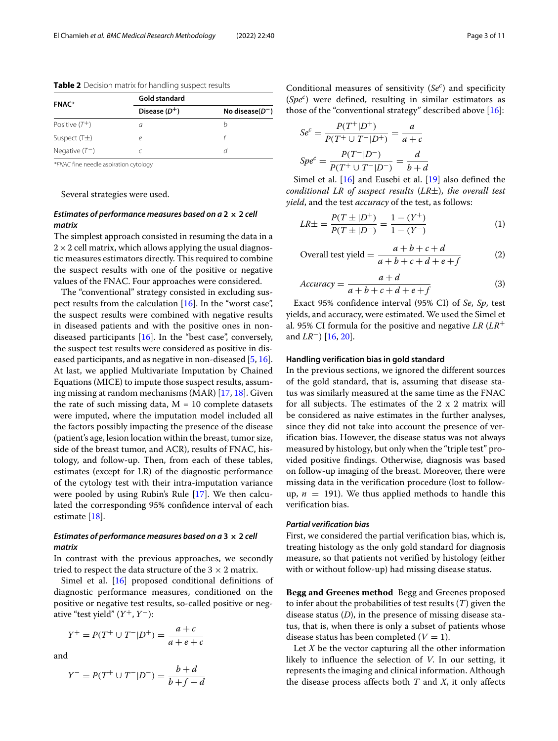<span id="page-2-0"></span>**Table 2** Decision matrix for handling suspect results

| <b>FNAC*</b>     | Gold standard   |                     |  |  |
|------------------|-----------------|---------------------|--|--|
|                  | Disease $(D^+)$ | No disease( $D^-$ ) |  |  |
| Positive $(T^+)$ |                 | h                   |  |  |
| Suspect $(T+)$   |                 |                     |  |  |
| Negative $(T^-)$ |                 |                     |  |  |
|                  |                 |                     |  |  |

\*FNAC fine needle aspiration cytology

Several strategies were used.

## *Estimates of performance measures based on a* **2 × 2** *cell matrix*

The simplest approach consisted in resuming the data in a  $2 \times 2$  cell matrix, which allows applying the usual diagnostic measures estimators directly. This required to combine the suspect results with one of the positive or negative values of the FNAC. Four approaches were considered.

The "conventional" strategy consisted in excluding suspect results from the calculation [\[16\]](#page-10-13). In the "worst case", the suspect results were combined with negative results in diseased patients and with the positive ones in nondiseased participants  $[16]$ . In the "best case", conversely, the suspect test results were considered as positive in diseased participants, and as negative in non-diseased  $[5, 16]$  $[5, 16]$  $[5, 16]$ . At last, we applied Multivariate Imputation by Chained Equations (MICE) to impute those suspect results, assuming missing at random mechanisms (MAR) [\[17,](#page-10-14) [18\]](#page-10-15). Given the rate of such missing data,  $M = 10$  complete datasets were imputed, where the imputation model included all the factors possibly impacting the presence of the disease (patient's age, lesion location within the breast, tumor size, side of the breast tumor, and ACR), results of FNAC, histology, and follow-up. Then, from each of these tables, estimates (except for LR) of the diagnostic performance of the cytology test with their intra-imputation variance were pooled by using Rubin's Rule [\[17\]](#page-10-14). We then calculated the corresponding 95% confidence interval of each estimate [\[18\]](#page-10-15).

## *Estimates of performance measures based on a* **3 × 2** *cell matrix*

In contrast with the previous approaches, we secondly tried to respect the data structure of the  $3 \times 2$  matrix.

Simel et al. [\[16\]](#page-10-13) proposed conditional definitions of diagnostic performance measures, conditioned on the positive or negative test results, so-called positive or negative "test yield"  $(Y^+, Y^-)$ :

$$
Y^{+} = P(T^{+} \cup T^{-} | D^{+}) = \frac{a + c}{a + e + c}
$$

and

$$
Y^- = P(T^+ \cup T^- | D^-) = \frac{b+d}{b+f+d}
$$

Conditional measures of sensitivity (*Se<sup>c</sup>* ) and specificity (*Spe<sup>c</sup>* ) were defined, resulting in similar estimators as those of the "conventional strategy" described above [\[16\]](#page-10-13):

$$
Se^{c} = \frac{P(T^{+}|D^{+})}{P(T^{+} \cup T^{-}|D^{+})} = \frac{a}{a+c}
$$

$$
Spe^{c} = \frac{P(T^{-}|D^{-})}{P(T^{+} \cup T^{-}|D^{-})} = \frac{d}{b+d}
$$

Simel et al. [\[16\]](#page-10-13) and Eusebi et al. [\[19\]](#page-10-16) also defined the *conditional LR of suspect results* (*LR*±), *the overall test yield*, and the test *accuracy* of the test, as follows:

$$
LR\pm = \frac{P(T \pm |D^{+})}{P(T \pm |D^{-})} = \frac{1 - (Y^{+})}{1 - (Y^{-})}
$$
(1)

Overall test yield 
$$
= \frac{a+b+c+d}{a+b+c+d+e+f}
$$
 (2)

$$
Accuracy = \frac{a+d}{a+b+c+d+e+f}
$$
 (3)

Exact 95% confidence interval (95% CI) of *Se*, *Sp*, test yields, and accuracy, were estimated. We used the Simel et al. 95% CI formula for the positive and negative *LR* (*LR*+ and *LR*−) [\[16,](#page-10-13) [20\]](#page-10-17).

#### **Handling verification bias in gold standard**

In the previous sections, we ignored the different sources of the gold standard, that is, assuming that disease status was similarly measured at the same time as the FNAC for all subjects. The estimates of the 2 x 2 matrix will be considered as naive estimates in the further analyses, since they did not take into account the presence of verification bias. However, the disease status was not always measured by histology, but only when the "triple test" provided positive findings. Otherwise, diagnosis was based on follow-up imaging of the breast. Moreover, there were missing data in the verification procedure (lost to followup,  $n = 191$ ). We thus applied methods to handle this verification bias.

## *Partial verification bias*

First, we considered the partial verification bias, which is, treating histology as the only gold standard for diagnosis measure, so that patients not verified by histology (either with or without follow-up) had missing disease status.

**Begg and Greenes method** Begg and Greenes proposed to infer about the probabilities of test results (*T*) given the disease status (*D*), in the presence of missing disease status, that is, when there is only a subset of patients whose disease status has been completed  $(V = 1)$ .

Let *X* be the vector capturing all the other information likely to influence the selection of *V*. In our setting, it represents the imaging and clinical information. Although the disease process affects both *T* and *X*, it only affects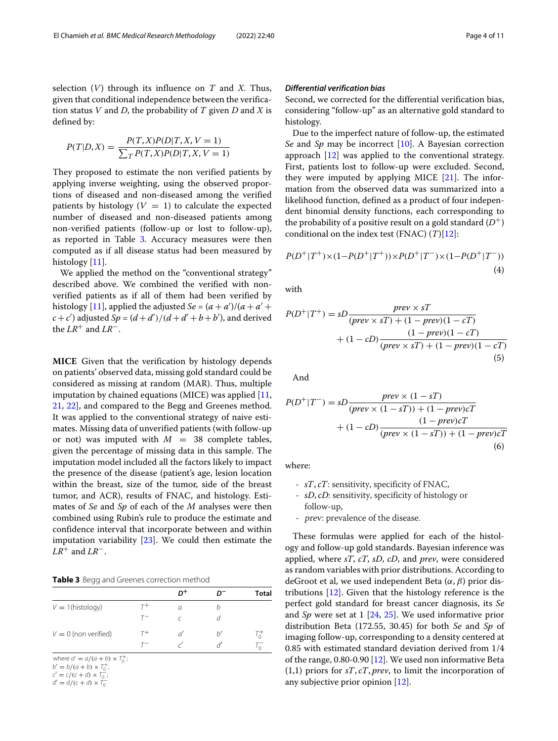selection (*V*) through its influence on *T* and *X*. Thus, given that conditional independence between the verification status *V* and *D*, the probability of *T* given *D* and *X* is defined by:

$$
P(T|D,X) = \frac{P(T,X)P(D|T,X,V=1)}{\sum_{T} P(T,X)P(D|T,X,V=1)}
$$

They proposed to estimate the non verified patients by applying inverse weighting, using the observed proportions of diseased and non-diseased among the verified patients by histology  $(V = 1)$  to calculate the expected number of diseased and non-diseased patients among non-verified patients (follow-up or lost to follow-up), as reported in Table [3.](#page-3-0) Accuracy measures were then computed as if all disease status had been measured by histology [\[11\]](#page-10-9).

We applied the method on the "conventional strategy" described above. We combined the verified with nonverified patients as if all of them had been verified by histology [\[11\]](#page-10-9), applied the adjusted *Se* =  $(a + a')/(a + a' + a')$  $c + c'$ ) adjusted  $Sp = (d + d')/(d + d' + b + b')$ , and derived the  $LR^+$  and  $LR^-$ .

**MICE** Given that the verification by histology depends on patients' observed data, missing gold standard could be considered as missing at random (MAR). Thus, multiple imputation by chained equations (MICE) was applied [\[11,](#page-10-9) [21,](#page-10-18) [22\]](#page-10-19), and compared to the Begg and Greenes method. It was applied to the conventional strategy of naive estimates. Missing data of unverified patients (with follow-up or not) was imputed with  $M = 38$  complete tables, given the percentage of missing data in this sample. The imputation model included all the factors likely to impact the presence of the disease (patient's age, lesion location within the breast, size of the tumor, side of the breast tumor, and ACR), results of FNAC, and histology. Estimates of *Se* and *Sp* of each of the *M* analyses were then combined using Rubin's rule to produce the estimate and confidence interval that incorporate between and within imputation variability [\[23\]](#page-10-20). We could then estimate the *LR*+ and *LR*−.

**Table 3** Begg and Greenes correction method

<span id="page-3-0"></span>

|                        |       | $D^+$    |   | <b>Total</b> |
|------------------------|-------|----------|---|--------------|
| $V = 1$ (histology)    | г+    | $\sigma$ | h |              |
|                        | $T^-$ |          |   |              |
| $V = 0$ (non verified) | $T^+$ |          | h |              |
|                        | $T-$  |          |   |              |

where  $a' = a/(a + b) \times T_0^+$ ;

 $b' = b/(a+b) \times T_0^+;$ 

 $c' = c/(c+d) \times T_0^-;$  $d' = d/(c + d) \times T_0^-$ 

## *Differential verification bias*

Second, we corrected for the differential verification bias, considering "follow-up" as an alternative gold standard to histology.

Due to the imperfect nature of follow-up, the estimated *Se* and *Sp* may be incorrect [\[10\]](#page-10-8). A Bayesian correction approach [\[12\]](#page-10-21) was applied to the conventional strategy. First, patients lost to follow-up were excluded. Second, they were imputed by applying MICE  $[21]$ . The information from the observed data was summarized into a likelihood function, defined as a product of four independent binomial density functions, each corresponding to the probability of a positive result on a gold standard  $(D^+)$ conditional on the index test (FNAC) (*T*)[\[12\]](#page-10-21):

$$
P(D^{+}|T^{+}) \times (1 - P(D^{+}|T^{+})) \times P(D^{+}|T^{-}) \times (1 - P(D^{+}|T^{-}))
$$
\n(4)

with

$$
P(D^+|T^+) = sD \frac{prev \times sT}{(prev \times sT) + (1 - prev)(1 - cT)}
$$

$$
+ (1 - cD) \frac{(1 - prev)(1 - cT)}{(prev \times sT) + (1 - prev)(1 - cT)}
$$

$$
\tag{5}
$$

And

$$
P(D^+|T^-) = sD \frac{prev \times (1 - sT)}{(prev \times (1 - sT)) + (1 - prev)cT}
$$

$$
+ (1 - cD) \frac{(1 - prev)cT}{(prev \times (1 - sT)) + (1 - prev)cT}
$$
(6)

where:

- *sT*, *cT*: sensitivity, specificity of FNAC,
- *sD*, *cD*: sensitivity, specificity of histology or follow-up,
- prev: prevalence of the disease.

These formulas were applied for each of the histology and follow-up gold standards. Bayesian inference was applied, where *sT*, *cT*, *sD*, *cD*, and *prev*, were considered as random variables with prior distributions. According to deGroot et al, we used independent Beta  $(\alpha, \beta)$  prior distributions [\[12\]](#page-10-21). Given that the histology reference is the perfect gold standard for breast cancer diagnosis, its *Se* and *Sp* were set at 1 [\[24,](#page-10-22) [25\]](#page-10-23). We used informative prior distribution Beta (172.55, 30.45) for both *Se* and *Sp* of imaging follow-up, corresponding to a density centered at 0.85 with estimated standard deviation derived from 1/4 of the range, 0.80-0.90 [\[12\]](#page-10-21). We used non informative Beta (1,1) priors for *sT*, *cT*, *prev*, to limit the incorporation of any subjective prior opinion [\[12\]](#page-10-21).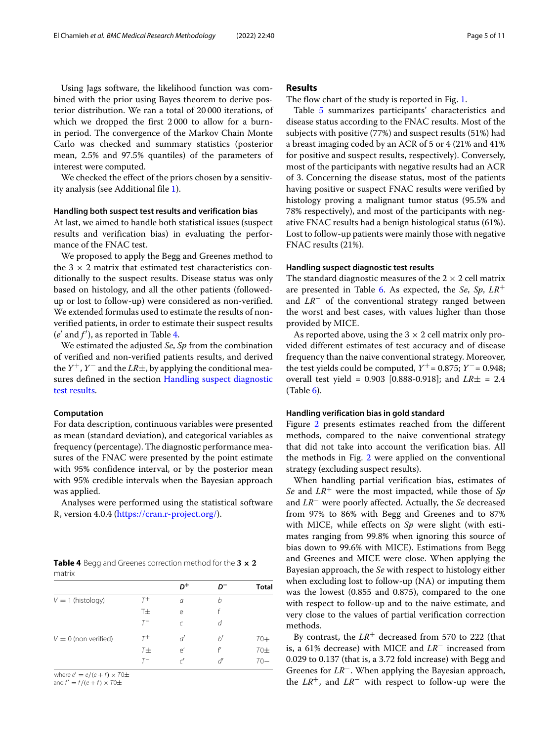Using Jags software, the likelihood function was combined with the prior using Bayes theorem to derive posterior distribution. We ran a total of 20 000 iterations, of which we dropped the first 2 000 to allow for a burnin period. The convergence of the Markov Chain Monte Carlo was checked and summary statistics (posterior mean, 2.5% and 97.5% quantiles) of the parameters of interest were computed.

We checked the effect of the priors chosen by a sensitivity analysis (see Additional file [1\)](#page-9-0).

## **Handling both suspect test results and verification bias**

At last, we aimed to handle both statistical issues (suspect results and verification bias) in evaluating the performance of the FNAC test.

We proposed to apply the Begg and Greenes method to the  $3 \times 2$  matrix that estimated test characteristics conditionally to the suspect results. Disease status was only based on histology, and all the other patients (followedup or lost to follow-up) were considered as non-verified. We extended formulas used to estimate the results of nonverified patients, in order to estimate their suspect results  $(e'$  and  $f'$ ), as reported in Table [4.](#page-4-0)

We estimated the adjusted *Se*, *Sp* from the combination of verified and non-verified patients results, and derived the  $Y^+$ ,  $Y^-$  and the *LR* $\pm$ , by applying the conditional measures defined in the section [Handling suspect diagnostic](#page-1-1) [test results.](#page-1-1)

## **Computation**

For data description, continuous variables were presented as mean (standard deviation), and categorical variables as frequency (percentage). The diagnostic performance measures of the FNAC were presented by the point estimate with 95% confidence interval, or by the posterior mean with 95% credible intervals when the Bayesian approach was applied.

Analyses were performed using the statistical software R, version 4.0.4 [\(https://cran.r-project.org/\)](https://cran.r-project.org/).

<span id="page-4-0"></span>

|        | <b>Table 4</b> Begg and Greenes correction method for the $3 \times 2$ |  |  |
|--------|------------------------------------------------------------------------|--|--|
| matrix |                                                                        |  |  |

|                        |             | D+ |   | <b>Total</b> |
|------------------------|-------------|----|---|--------------|
| $V = 1$ (histology)    | $T^+$       | а  | h |              |
|                        | T±          | e  |   |              |
|                        | т-          | C  | d |              |
| $V = 0$ (non verified) | $T^+$       | ď  | b | $T0+$        |
|                        | $7\pm$      | e' |   | $T0\pm$      |
|                        | $T^{\rm -}$ | וה | ď | $T0-$        |

where  $e' = e/(e + f) \times T0 \pm T$ and  $f' = f/(e + f) \times T0 \pm$ 

# **Results**

The flow chart of the study is reported in Fig. [1.](#page-5-0)

Table [5](#page-6-0) summarizes participants' characteristics and disease status according to the FNAC results. Most of the subjects with positive (77%) and suspect results (51%) had a breast imaging coded by an ACR of 5 or 4 (21% and 41% for positive and suspect results, respectively). Conversely, most of the participants with negative results had an ACR of 3. Concerning the disease status, most of the patients having positive or suspect FNAC results were verified by histology proving a malignant tumor status (95.5% and 78% respectively), and most of the participants with negative FNAC results had a benign histological status (61%). Lost to follow-up patients were mainly those with negative FNAC results (21%).

## **Handling suspect diagnostic test results**

The standard diagnostic measures of the  $2 \times 2$  cell matrix are presented in Table [6.](#page-7-0) As expected, the *Se*, *Sp*, *LR*+ and *LR*− of the conventional strategy ranged between the worst and best cases, with values higher than those provided by MICE.

As reported above, using the  $3 \times 2$  cell matrix only provided different estimates of test accuracy and of disease frequency than the naive conventional strategy. Moreover, the test yields could be computed,  $Y^+$  = 0.875;  $Y^-$  = 0.948; overall test yield = 0.903 [0.888-0.918]; and *LR*± = 2.4  $(Table 6)$  $(Table 6)$ .

## **Handling verification bias in gold standard**

Figure [2](#page-8-0) presents estimates reached from the different methods, compared to the naive conventional strategy that did not take into account the verification bias. All the methods in Fig. [2](#page-8-0) were applied on the conventional strategy (excluding suspect results).

When handling partial verification bias, estimates of *Se* and *LR*+ were the most impacted, while those of *Sp* and *LR*− were poorly affected. Actually, the *Se* decreased from 97% to 86% with Begg and Greenes and to 87% with MICE, while effects on *Sp* were slight (with estimates ranging from 99.8% when ignoring this source of bias down to 99.6% with MICE). Estimations from Begg and Greenes and MICE were close. When applying the Bayesian approach, the *Se* with respect to histology either when excluding lost to follow-up (NA) or imputing them was the lowest (0.855 and 0.875), compared to the one with respect to follow-up and to the naive estimate, and very close to the values of partial verification correction methods.

By contrast, the  $LR^+$  decreased from 570 to 222 (that is, a 61% decrease) with MICE and *LR*− increased from 0.029 to 0.137 (that is, a 3.72 fold increase) with Begg and Greenes for *LR*−. When applying the Bayesian approach, the *LR*+, and *LR*− with respect to follow-up were the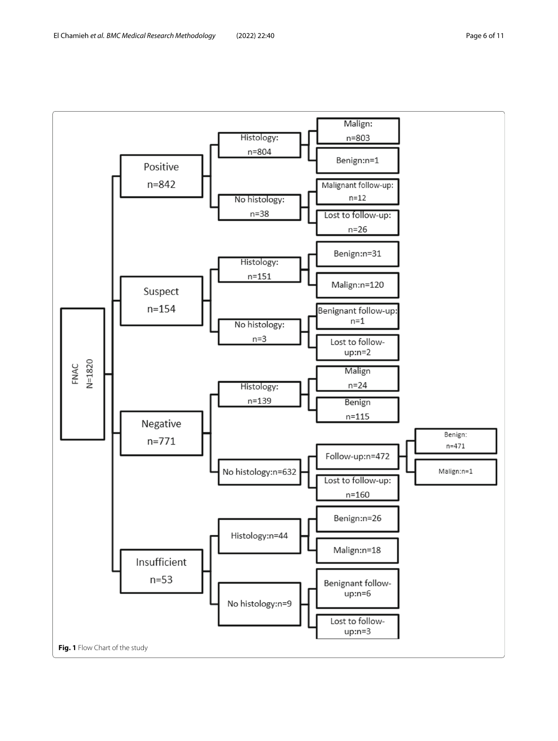<span id="page-5-0"></span>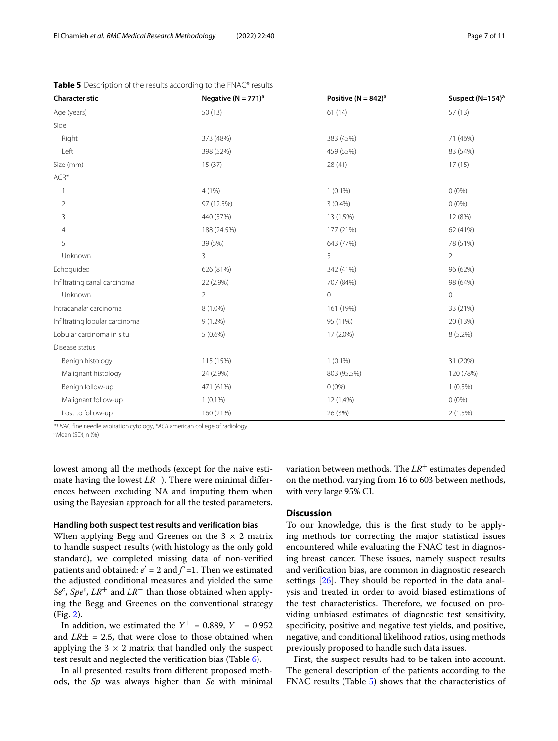| Characteristic                 | Negative ( $N = 771$ ) <sup>a</sup> | Positive ( $N = 842$ ) <sup>a</sup> | Suspect (N=154) <sup>a</sup> |  |
|--------------------------------|-------------------------------------|-------------------------------------|------------------------------|--|
| Age (years)                    | 50(13)                              | 61(14)                              | 57(13)                       |  |
| Side                           |                                     |                                     |                              |  |
| Right                          | 373 (48%)                           | 383 (45%)                           | 71 (46%)                     |  |
| Left                           | 398 (52%)                           | 459 (55%)                           | 83 (54%)                     |  |
| Size (mm)                      | 15(37)                              | 28 (41)                             | 17(15)                       |  |
| ACR*                           |                                     |                                     |                              |  |
| 1                              | 4(1%)                               | $1(0.1\%)$                          | $0(0\%)$                     |  |
| $\overline{2}$                 | 97 (12.5%)                          | $3(0.4\%)$                          | $0(0\%)$                     |  |
| 3                              | 440 (57%)                           | 13 (1.5%)                           | 12 (8%)                      |  |
| 4                              | 188 (24.5%)                         | 177 (21%)                           | 62 (41%)                     |  |
| 5                              | 39 (5%)                             | 643 (77%)                           | 78 (51%)                     |  |
| Unknown                        | 3                                   | 5                                   | $\overline{2}$               |  |
| Echoquided                     | 626 (81%)                           | 342 (41%)                           | 96 (62%)                     |  |
| Infiltrating canal carcinoma   | 22 (2.9%)                           | 707 (84%)                           | 98 (64%)                     |  |
| Unknown                        | $\overline{2}$                      | $\mathbf 0$                         | $\mathbf 0$                  |  |
| Intracanalar carcinoma         | 8 (1.0%)                            | 161 (19%)                           | 33 (21%)                     |  |
| Infiltrating lobular carcinoma | $9(1.2\%)$                          | 95 (11%)                            | 20 (13%)                     |  |
| Lobular carcinoma in situ      | $5(0.6\%)$                          | 17 (2.0%)                           | 8 (5.2%)                     |  |
| Disease status                 |                                     |                                     |                              |  |
| Benign histology               | 115 (15%)                           | $1(0.1\%)$                          | 31 (20%)                     |  |
| Malignant histology            | 24 (2.9%)                           | 803 (95.5%)                         | 120 (78%)                    |  |
| Benign follow-up               | 471 (61%)                           | $0(0\%)$                            | $1(0.5\%)$                   |  |
| Malignant follow-up            | $1(0.1\%)$                          | 12 (1.4%)                           | $0(0\%)$                     |  |
| Lost to follow-up              | 160 (21%)                           | 26 (3%)                             | $2(1.5\%)$                   |  |

<span id="page-6-0"></span>**Table 5** Description of the results according to the FNAC\* results

\*FNAC fine needle aspiration cytology, \*ACR american college of radiology

a Mean (SD); n (%)

lowest among all the methods (except for the naive estimate having the lowest *LR*−). There were minimal differences between excluding NA and imputing them when using the Bayesian approach for all the tested parameters.

## **Handling both suspect test results and verification bias**

When applying Begg and Greenes on the  $3 \times 2$  matrix to handle suspect results (with histology as the only gold standard), we completed missing data of non-verified patients and obtained:  $e' = 2$  and  $f' = 1$ . Then we estimated the adjusted conditional measures and yielded the same *Se<sup>c</sup>* , *Spe<sup>c</sup>* , *LR*+ and *LR*− than those obtained when applying the Begg and Greenes on the conventional strategy (Fig. [2\)](#page-8-0).

In addition, we estimated the  $Y^+ = 0.889$ ,  $Y^- = 0.952$ and  $LR\pm = 2.5$ , that were close to those obtained when applying the  $3 \times 2$  matrix that handled only the suspect test result and neglected the verification bias (Table [6\)](#page-7-0).

In all presented results from different proposed methods, the *Sp* was always higher than *Se* with minimal variation between methods. The *LR*+ estimates depended on the method, varying from 16 to 603 between methods, with very large 95% CI.

## **Discussion**

To our knowledge, this is the first study to be applying methods for correcting the major statistical issues encountered while evaluating the FNAC test in diagnosing breast cancer. These issues, namely suspect results and verification bias, are common in diagnostic research settings [\[26\]](#page-10-24). They should be reported in the data analysis and treated in order to avoid biased estimations of the test characteristics. Therefore, we focused on providing unbiased estimates of diagnostic test sensitivity, specificity, positive and negative test yields, and positive, negative, and conditional likelihood ratios, using methods previously proposed to handle such data issues.

First, the suspect results had to be taken into account. The general description of the patients according to the FNAC results (Table [5\)](#page-6-0) shows that the characteristics of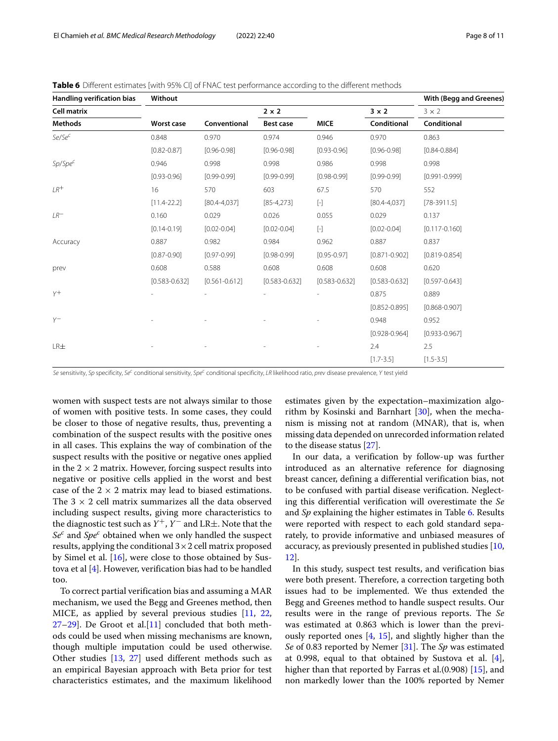| Handling verification bias | Without           |                   |                   |                                                                                                                                                                                                                                                                                                                                                                                                                                                                                                                                                                                                                                                                                                                                                                                                                    |                   | <b>With (Begg and Greenes)</b> |
|----------------------------|-------------------|-------------------|-------------------|--------------------------------------------------------------------------------------------------------------------------------------------------------------------------------------------------------------------------------------------------------------------------------------------------------------------------------------------------------------------------------------------------------------------------------------------------------------------------------------------------------------------------------------------------------------------------------------------------------------------------------------------------------------------------------------------------------------------------------------------------------------------------------------------------------------------|-------------------|--------------------------------|
| <b>Cell matrix</b>         |                   |                   | $2 \times 2$      |                                                                                                                                                                                                                                                                                                                                                                                                                                                                                                                                                                                                                                                                                                                                                                                                                    | $3 \times 2$      | $3 \times 2$                   |
| <b>Methods</b>             | <b>Worst case</b> | Conventional      | Best case         | <b>MICE</b>                                                                                                                                                                                                                                                                                                                                                                                                                                                                                                                                                                                                                                                                                                                                                                                                        | Conditional       | Conditional                    |
| Se/Se <sup>c</sup>         | 0.848             | 0.970             | 0.974             | 0.946                                                                                                                                                                                                                                                                                                                                                                                                                                                                                                                                                                                                                                                                                                                                                                                                              | 0.970             | 0.863                          |
|                            | $[0.82 - 0.87]$   | $[0.96 - 0.98]$   | $[0.96 - 0.98]$   | $[0.93 - 0.96]$                                                                                                                                                                                                                                                                                                                                                                                                                                                                                                                                                                                                                                                                                                                                                                                                    | $[0.96 - 0.98]$   | $[0.84 - 0.884]$               |
| $Sp/Spec^C$                | 0.946             | 0.998             | 0.998             | 0.986                                                                                                                                                                                                                                                                                                                                                                                                                                                                                                                                                                                                                                                                                                                                                                                                              | 0.998             | 0.998                          |
|                            | $[0.93 - 0.96]$   | $[0.99 - 0.99]$   | $[0.99 - 0.99]$   | $[0.98 - 0.99]$                                                                                                                                                                                                                                                                                                                                                                                                                                                                                                                                                                                                                                                                                                                                                                                                    | $[0.99 - 0.99]$   | $[0.991 - 0.999]$              |
| $IR^+$                     | 16                | 570               | 603               | 67.5                                                                                                                                                                                                                                                                                                                                                                                                                                                                                                                                                                                                                                                                                                                                                                                                               | 570               | 552                            |
|                            | $[11.4 - 22.2]$   | $[80.4 - 4.037]$  | $[85 - 4, 273]$   | $[\cdot] % \centering \includegraphics[width=0.9\textwidth]{images/TrDiS/N-Architecture.png} % \caption{The first two different values of $N$ in the left (upper) and the right (lower) and the right (lower) and the right (lower) and the right (lower) and the right (lower) and the right (lower) and the right (lower) and the right (lower) and the right (lower) and the right (lower) and the right (lower) and the right (lower) and the right (lower) and the right (lower) and the right (lower) and the right (lower) and the right (lower) and the right (lower) and the right (lower) and the right (lower) and the right (lower) and the right (lower) and the right (lower) and the right (lower) and the right (lower) and the right (lower) and the right (lower) and the right (lower) and the$ | $[80.4 - 4.037]$  | $[78-3911.5]$                  |
| $LR^-$                     | 0.160             | 0.029             | 0.026             | 0.055                                                                                                                                                                                                                                                                                                                                                                                                                                                                                                                                                                                                                                                                                                                                                                                                              | 0.029             | 0.137                          |
|                            | $[0.14 - 0.19]$   | $[0.02 - 0.04]$   | $[0.02 - 0.04]$   | $[\cdot]$                                                                                                                                                                                                                                                                                                                                                                                                                                                                                                                                                                                                                                                                                                                                                                                                          | $[0.02 - 0.04]$   | $[0.117 - 0.160]$              |
| Accuracy                   | 0.887             | 0.982             | 0.984             | 0.962                                                                                                                                                                                                                                                                                                                                                                                                                                                                                                                                                                                                                                                                                                                                                                                                              | 0.887             | 0.837                          |
|                            | $[0.87 - 0.90]$   | $[0.97 - 0.99]$   | $[0.98 - 0.99]$   | $[0.95 - 0.97]$                                                                                                                                                                                                                                                                                                                                                                                                                                                                                                                                                                                                                                                                                                                                                                                                    | $[0.871 - 0.902]$ | $[0.819 - 0.854]$              |
| prev                       | 0.608             | 0.588             | 0.608             | 0.608                                                                                                                                                                                                                                                                                                                                                                                                                                                                                                                                                                                                                                                                                                                                                                                                              | 0.608             | 0.620                          |
|                            | $[0.583 - 0.632]$ | $[0.561 - 0.612]$ | $[0.583 - 0.632]$ | $[0.583 - 0.632]$                                                                                                                                                                                                                                                                                                                                                                                                                                                                                                                                                                                                                                                                                                                                                                                                  | $[0.583 - 0.632]$ | $[0.597 - 0.643]$              |
| $y+$                       |                   |                   |                   |                                                                                                                                                                                                                                                                                                                                                                                                                                                                                                                                                                                                                                                                                                                                                                                                                    | 0.875             | 0.889                          |
|                            |                   |                   |                   |                                                                                                                                                                                                                                                                                                                                                                                                                                                                                                                                                                                                                                                                                                                                                                                                                    | $[0.852 - 0.895]$ | $[0.868 - 0.907]$              |
| $Y^-$                      |                   |                   |                   |                                                                                                                                                                                                                                                                                                                                                                                                                                                                                                                                                                                                                                                                                                                                                                                                                    | 0.948             | 0.952                          |
|                            |                   |                   |                   |                                                                                                                                                                                                                                                                                                                                                                                                                                                                                                                                                                                                                                                                                                                                                                                                                    | $[0.928 - 0.964]$ | $[0.933 - 0.967]$              |
| LR <sub>±</sub>            |                   |                   |                   |                                                                                                                                                                                                                                                                                                                                                                                                                                                                                                                                                                                                                                                                                                                                                                                                                    | 2.4               | 2.5                            |
|                            |                   |                   |                   |                                                                                                                                                                                                                                                                                                                                                                                                                                                                                                                                                                                                                                                                                                                                                                                                                    | $[1.7 - 3.5]$     | $[1.5 - 3.5]$                  |

<span id="page-7-0"></span>**Table 6** Different estimates [with 95% CI] of FNAC test performance according to the different methods

Se sensitivity, Sp specificity, Se<sup>c</sup> conditional sensitivity, Spe<sup>c</sup> conditional specificity, LR likelihood ratio, prev disease prevalence, Y test yield

women with suspect tests are not always similar to those of women with positive tests. In some cases, they could be closer to those of negative results, thus, preventing a combination of the suspect results with the positive ones in all cases. This explains the way of combination of the suspect results with the positive or negative ones applied in the  $2 \times 2$  matrix. However, forcing suspect results into negative or positive cells applied in the worst and best case of the  $2 \times 2$  matrix may lead to biased estimations. The  $3 \times 2$  cell matrix summarizes all the data observed including suspect results, giving more characteristics to the diagnostic test such as  $Y^+$ ,  $Y^-$  and LR $\pm$ . Note that the *Se<sup>c</sup>* and *Spe<sup>c</sup>* obtained when we only handled the suspect results, applying the conditional  $3\times 2$  cell matrix proposed by Simel et al. [\[16\]](#page-10-13), were close to those obtained by Sustova et al [\[4\]](#page-10-3). However, verification bias had to be handled too.

To correct partial verification bias and assuming a MAR mechanism, we used the Begg and Greenes method, then MICE, as applied by several previous studies [\[11,](#page-10-9) [22,](#page-10-19)  $27-29$ ]. De Groot et al. $[11]$  concluded that both methods could be used when missing mechanisms are known, though multiple imputation could be used otherwise. Other studies [\[13,](#page-10-10) [27\]](#page-10-25) used different methods such as an empirical Bayesian approach with Beta prior for test characteristics estimates, and the maximum likelihood

estimates given by the expectation–maximization algorithm by Kosinski and Barnhart  $[30]$ , when the mechanism is missing not at random (MNAR), that is, when missing data depended on unrecorded information related to the disease status [\[27\]](#page-10-25).

In our data, a verification by follow-up was further introduced as an alternative reference for diagnosing breast cancer, defining a differential verification bias, not to be confused with partial disease verification. Neglecting this differential verification will overestimate the *Se* and *Sp* explaining the higher estimates in Table [6.](#page-7-0) Results were reported with respect to each gold standard separately, to provide informative and unbiased measures of accuracy, as previously presented in published studies [\[10,](#page-10-8) [12\]](#page-10-21).

In this study, suspect test results, and verification bias were both present. Therefore, a correction targeting both issues had to be implemented. We thus extended the Begg and Greenes method to handle suspect results. Our results were in the range of previous reports. The *Se* was estimated at 0.863 which is lower than the previously reported ones [\[4,](#page-10-3) [15\]](#page-10-12), and slightly higher than the *Se* of 0.83 reported by Nemer [\[31\]](#page-10-28). The *Sp* was estimated at 0.998, equal to that obtained by Sustova et al. [\[4\]](#page-10-3), higher than that reported by Farras et al.(0.908) [\[15\]](#page-10-12), and non markedly lower than the 100% reported by Nemer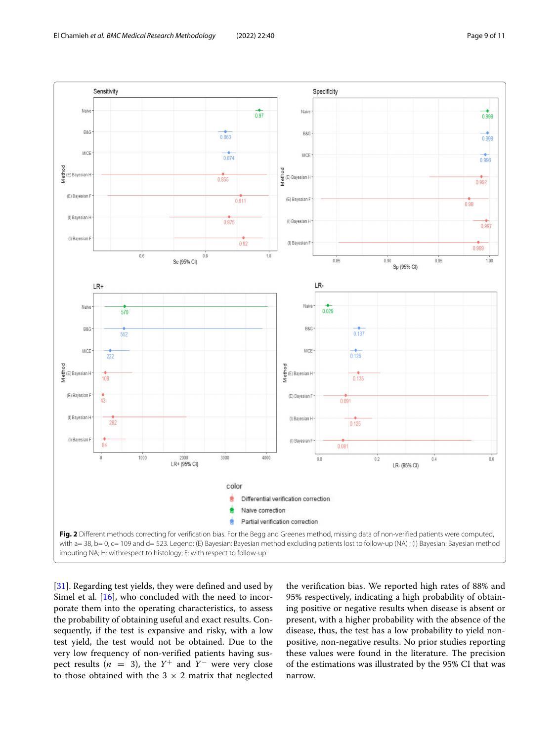

<span id="page-8-0"></span>[\[31\]](#page-10-28). Regarding test yields, they were defined and used by Simel et al. [\[16\]](#page-10-13), who concluded with the need to incorporate them into the operating characteristics, to assess the probability of obtaining useful and exact results. Consequently, if the test is expansive and risky, with a low test yield, the test would not be obtained. Due to the very low frequency of non-verified patients having suspect results ( $n = 3$ ), the  $Y^+$  and  $Y^-$  were very close to those obtained with the  $3 \times 2$  matrix that neglected the verification bias. We reported high rates of 88% and 95% respectively, indicating a high probability of obtaining positive or negative results when disease is absent or present, with a higher probability with the absence of the disease, thus, the test has a low probability to yield nonpositive, non-negative results. No prior studies reporting these values were found in the literature. The precision of the estimations was illustrated by the 95% CI that was narrow.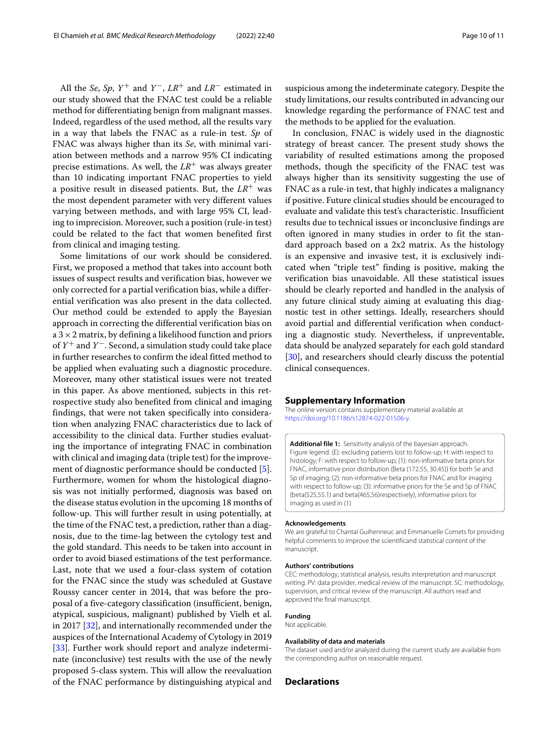All the *Se*, *Sp*,  $Y^+$  and  $Y^-$ ,  $LR^+$  and  $LR^-$  estimated in our study showed that the FNAC test could be a reliable method for differentiating benign from malignant masses. Indeed, regardless of the used method, all the results vary in a way that labels the FNAC as a rule-in test. *Sp* of FNAC was always higher than its *Se*, with minimal variation between methods and a narrow 95% CI indicating precise estimations. As well, the  $LR^+$  was always greater than 10 indicating important FNAC properties to yield a positive result in diseased patients. But, the *LR*+ was the most dependent parameter with very different values varying between methods, and with large 95% CI, leading to imprecision. Moreover, such a position (rule-in test) could be related to the fact that women benefited first from clinical and imaging testing.

Some limitations of our work should be considered. First, we proposed a method that takes into account both issues of suspect results and verification bias, however we only corrected for a partial verification bias, while a differential verification was also present in the data collected. Our method could be extended to apply the Bayesian approach in correcting the differential verification bias on  $a$  3  $\times$  2 matrix, by defining a likelihood function and priors of *Y*<sup>+</sup> and *Y*<sup>−</sup>. Second, a simulation study could take place in further researches to confirm the ideal fitted method to be applied when evaluating such a diagnostic procedure. Moreover, many other statistical issues were not treated in this paper. As above mentioned, subjects in this retrospective study also benefited from clinical and imaging findings, that were not taken specifically into consideration when analyzing FNAC characteristics due to lack of accessibility to the clinical data. Further studies evaluating the importance of integrating FNAC in combination with clinical and imaging data (triple test) for the improvement of diagnostic performance should be conducted [\[5\]](#page-10-4). Furthermore, women for whom the histological diagnosis was not initially performed, diagnosis was based on the disease status evolution in the upcoming 18 months of follow-up. This will further result in using potentially, at the time of the FNAC test, a prediction, rather than a diagnosis, due to the time-lag between the cytology test and the gold standard. This needs to be taken into account in order to avoid biased estimations of the test performance. Last, note that we used a four-class system of cotation for the FNAC since the study was scheduled at Gustave Roussy cancer center in 2014, that was before the proposal of a five-category classification (insufficient, benign, atypical, suspicious, malignant) published by Vielh et al. in 2017 [\[32\]](#page-10-29), and internationally recommended under the auspices of the International Academy of Cytology in 2019 [\[33\]](#page-10-30). Further work should report and analyze indeterminate (inconclusive) test results with the use of the newly proposed 5-class system. This will allow the reevaluation of the FNAC performance by distinguishing atypical and

suspicious among the indeterminate category. Despite the study limitations, our results contributed in advancing our knowledge regarding the performance of FNAC test and the methods to be applied for the evaluation.

In conclusion, FNAC is widely used in the diagnostic strategy of breast cancer. The present study shows the variability of resulted estimations among the proposed methods, though the specificity of the FNAC test was always higher than its sensitivity suggesting the use of FNAC as a rule-in test, that highly indicates a malignancy if positive. Future clinical studies should be encouraged to evaluate and validate this test's characteristic. Insufficient results due to technical issues or inconclusive findings are often ignored in many studies in order to fit the standard approach based on a 2x2 matrix. As the histology is an expensive and invasive test, it is exclusively indicated when "triple test" finding is positive, making the verification bias unavoidable. All these statistical issues should be clearly reported and handled in the analysis of any future clinical study aiming at evaluating this diagnostic test in other settings. Ideally, researchers should avoid partial and differential verification when conducting a diagnostic study. Nevertheless, if unpreventable, data should be analyzed separately for each gold standard [\[30\]](#page-10-27), and researchers should clearly discuss the potential clinical consequences.

#### **Supplementary Information**

The online version contains supplementary material available at [https://doi.org/10.1186/s12874-022-01506-y.](https://doi.org/10.1186/s12874-022-01506-y)

<span id="page-9-0"></span>**Additional file 1:** Sensitivity analysis of the bayesian approach. Figure legend: (E): excluding patients lost to follow-up; H: with respect to histology; F: with respect to follow-up; (1): non-informative beta priors for FNAC, informative prior distribution (Beta (172.55, 30.45)) for both Se and Sp of imaging; (2): non-informative beta priors for FNAC and for imaging with respect to follow-up; (3): informative priors for the Se and Sp of FNAC (beta(525,55.1) and beta(465,56)respectively), informative priors for imaging as used in (1)

#### **Acknowledgements**

We are grateful to Chantal Guihenneuc and Emmanuelle Comets for providing helpful comments to improve the scientificand statistical content of the manuscript.

#### **Authors' contributions**

CEC: methodology, statistical analysis, results interpretation and manuscript writing. PV: data provider, medical review of the manuscript. SC: methodology, supervision, and critical review of the manuscript. All authors read and approved the final manuscript.

#### **Funding**

Not applicable.

## **Availability of data and materials**

The dataset used and/or analyzed during the current study are available from the corresponding author on reasonable request.

## **Declarations**